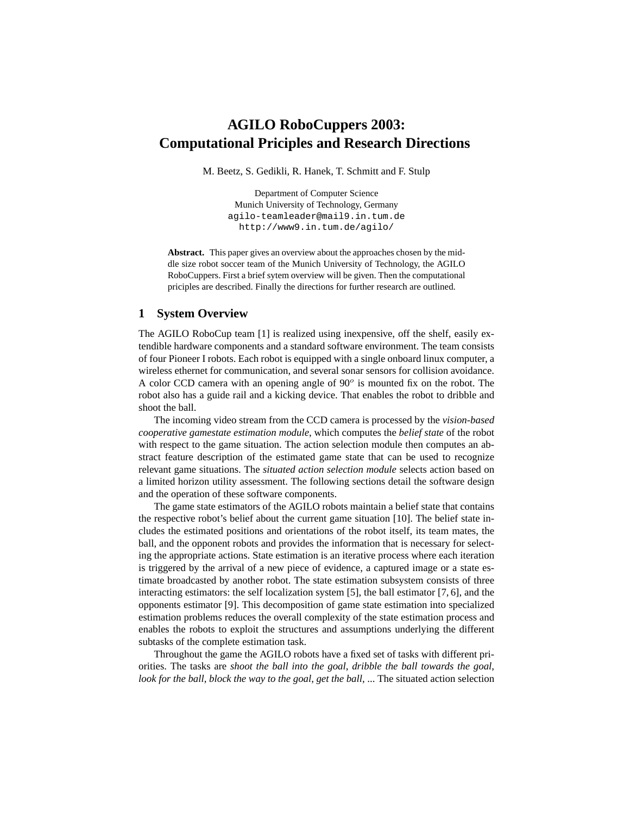## **AGILO RoboCuppers 2003: Computational Priciples and Research Directions**

M. Beetz, S. Gedikli, R. Hanek, T. Schmitt and F. Stulp

Department of Computer Science Munich University of Technology, Germany agilo-teamleader@mail9.in.tum.de http://www9.in.tum.de/agilo/

Abstract. This paper gives an overview about the approaches chosen by the middle size robot soccer team of the Munich University of Technology, the AGILO RoboCuppers. First a brief sytem overview will be given. Then the computational priciples are described. Finally the directions for further research are outlined.

## **1 System Overview**

The AGILO RoboCup team [1] is realized using inexpensive, off the shelf, easily extendible hardware components and a standard software environment. The team consists of four Pioneer I robots. Each robot is equipped with a single onboard linux computer, a wireless ethernet for communication, and several sonar sensors for collision avoidance. A color CCD camera with an opening angle of  $90^\circ$  is mounted fix on the robot. The robot also has a guide rail and a kicking device. That enables the robot to dribble and shoot the ball.

The incoming video stream from the CCD camera is processed by the *vision-based cooperative gamestate estimation module*, which computes the *belief state* of the robot with respect to the game situation. The action selection module then computes an abstract feature description of the estimated game state that can be used to recognize relevant game situations. The *situated action selection module* selects action based on a limited horizon utility assessment. The following sections detail the software design and the operation of these software components.

The game state estimators of the AGILO robots maintain a belief state that contains the respective robot's belief about the current game situation [10]. The belief state includes the estimated positions and orientations of the robot itself, its team mates, the ball, and the opponent robots and provides the information that is necessary for selecting the appropriate actions. State estimation is an iterative process where each iteration is triggered by the arrival of a new piece of evidence, a captured image or a state estimate broadcasted by another robot. The state estimation subsystem consists of three interacting estimators: the self localization system [5], the ball estimator [7, 6], and the opponents estimator [9]. This decomposition of game state estimation into specialized estimation problems reduces the overall complexity of the state estimation process and enables the robots to exploit the structures and assumptions underlying the different subtasks of the complete estimation task.

Throughout the game the AGILO robots have a fixed set of tasks with different priorities. The tasks are *shoot the ball into the goal*, *dribble the ball towards the goal*, *look for the ball*, *block the way to the goal*, *get the ball*, ... The situated action selection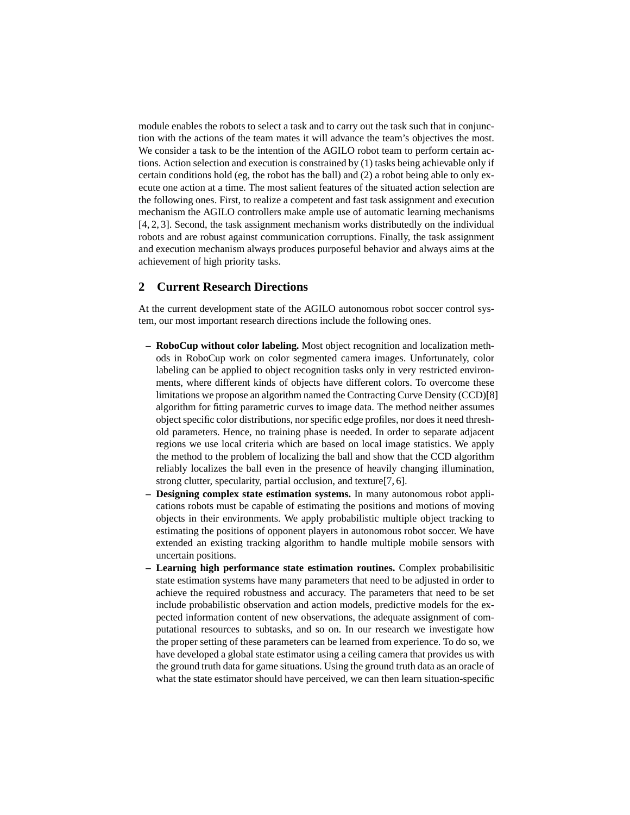module enables the robots to select a task and to carry out the task such that in conjunction with the actions of the team mates it will advance the team's objectives the most. We consider a task to be the intention of the AGILO robot team to perform certain actions. Action selection and execution is constrained by (1) tasks being achievable only if certain conditions hold (eg, the robot has the ball) and (2) a robot being able to only execute one action at a time. The most salient features of the situated action selection are the following ones. First, to realize a competent and fast task assignment and execution mechanism the AGILO controllers make ample use of automatic learning mechanisms [4, 2, 3]. Second, the task assignment mechanism works distributedly on the individual robots and are robust against communication corruptions. Finally, the task assignment and execution mechanism always produces purposeful behavior and always aims at the achievement of high priority tasks.

## **2 Current Research Directions**

At the current development state of the AGILO autonomous robot soccer control system, our most important research directions include the following ones.

- **RoboCup without color labeling.** Most object recognition and localization methods in RoboCup work on color segmented camera images. Unfortunately, color labeling can be applied to object recognition tasks only in very restricted environments, where different kinds of objects have different colors. To overcome these limitations we propose an algorithm named the Contracting Curve Density (CCD)[8] algorithm for fitting parametric curves to image data. The method neither assumes object specific color distributions, nor specific edge profiles, nor does it need threshold parameters. Hence, no training phase is needed. In order to separate adjacent regions we use local criteria which are based on local image statistics. We apply the method to the problem of localizing the ball and show that the CCD algorithm reliably localizes the ball even in the presence of heavily changing illumination, strong clutter, specularity, partial occlusion, and texture[7, 6].
- **Designing complex state estimation systems.** In many autonomous robot applications robots must be capable of estimating the positions and motions of moving objects in their environments. We apply probabilistic multiple object tracking to estimating the positions of opponent players in autonomous robot soccer. We have extended an existing tracking algorithm to handle multiple mobile sensors with uncertain positions.
- **Learning high performance state estimation routines.** Complex probabilisitic state estimation systems have many parameters that need to be adjusted in order to achieve the required robustness and accuracy. The parameters that need to be set include probabilistic observation and action models, predictive models for the expected information content of new observations, the adequate assignment of computational resources to subtasks, and so on. In our research we investigate how the proper setting of these parameters can be learned from experience. To do so, we have developed a global state estimator using a ceiling camera that provides us with the ground truth data for game situations. Using the ground truth data as an oracle of what the state estimator should have perceived, we can then learn situation-specific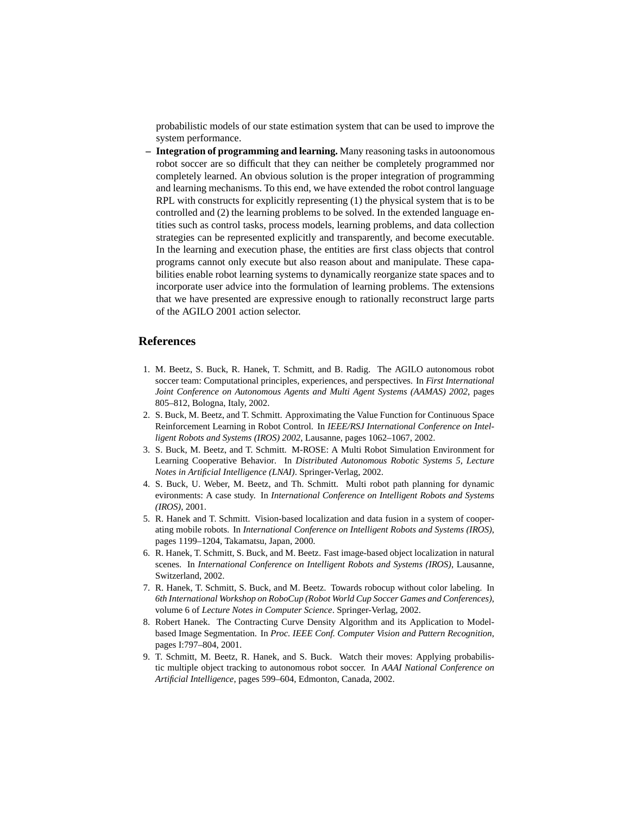probabilistic models of our state estimation system that can be used to improve the system performance.

**– Integration of programming and learning.** Many reasoning tasks in autoonomous robot soccer are so difficult that they can neither be completely programmed nor completely learned. An obvious solution is the proper integration of programming and learning mechanisms. To this end, we have extended the robot control language RPL with constructs for explicitly representing (1) the physical system that is to be controlled and (2) the learning problems to be solved. In the extended language entities such as control tasks, process models, learning problems, and data collection strategies can be represented explicitly and transparently, and become executable. In the learning and execution phase, the entities are first class objects that control programs cannot only execute but also reason about and manipulate. These capabilities enable robot learning systems to dynamically reorganize state spaces and to incorporate user advice into the formulation of learning problems. The extensions that we have presented are expressive enough to rationally reconstruct large parts of the AGILO 2001 action selector.

## **References**

- 1. M. Beetz, S. Buck, R. Hanek, T. Schmitt, and B. Radig. The AGILO autonomous robot soccer team: Computational principles, experiences, and perspectives. In *First International Joint Conference on Autonomous Agents and Multi Agent Systems (AAMAS) 2002*, pages 805–812, Bologna, Italy, 2002.
- 2. S. Buck, M. Beetz, and T. Schmitt. Approximating the Value Function for Continuous Space Reinforcement Learning in Robot Control. In *IEEE/RSJ International Conference on Intelligent Robots and Systems (IROS) 2002*, Lausanne, pages 1062–1067, 2002.
- 3. S. Buck, M. Beetz, and T. Schmitt. M-ROSE: A Multi Robot Simulation Environment for Learning Cooperative Behavior. In *Distributed Autonomous Robotic Systems 5, Lecture Notes in Artificial Intelligence (LNAI)*. Springer-Verlag, 2002.
- 4. S. Buck, U. Weber, M. Beetz, and Th. Schmitt. Multi robot path planning for dynamic evironments: A case study. In *International Conference on Intelligent Robots and Systems (IROS)*, 2001.
- 5. R. Hanek and T. Schmitt. Vision-based localization and data fusion in a system of cooperating mobile robots. In *International Conference on Intelligent Robots and Systems (IROS)*, pages 1199–1204, Takamatsu, Japan, 2000.
- 6. R. Hanek, T. Schmitt, S. Buck, and M. Beetz. Fast image-based object localization in natural scenes. In *International Conference on Intelligent Robots and Systems (IROS)*, Lausanne, Switzerland, 2002.
- 7. R. Hanek, T. Schmitt, S. Buck, and M. Beetz. Towards robocup without color labeling. In *6th International Workshop on RoboCup (Robot World Cup Soccer Games and Conferences)*, volume 6 of *Lecture Notes in Computer Science*. Springer-Verlag, 2002.
- 8. Robert Hanek. The Contracting Curve Density Algorithm and its Application to Modelbased Image Segmentation. In *Proc. IEEE Conf. Computer Vision and Pattern Recognition*, pages I:797–804, 2001.
- 9. T. Schmitt, M. Beetz, R. Hanek, and S. Buck. Watch their moves: Applying probabilistic multiple object tracking to autonomous robot soccer. In *AAAI National Conference on Artificial Intelligence*, pages 599–604, Edmonton, Canada, 2002.